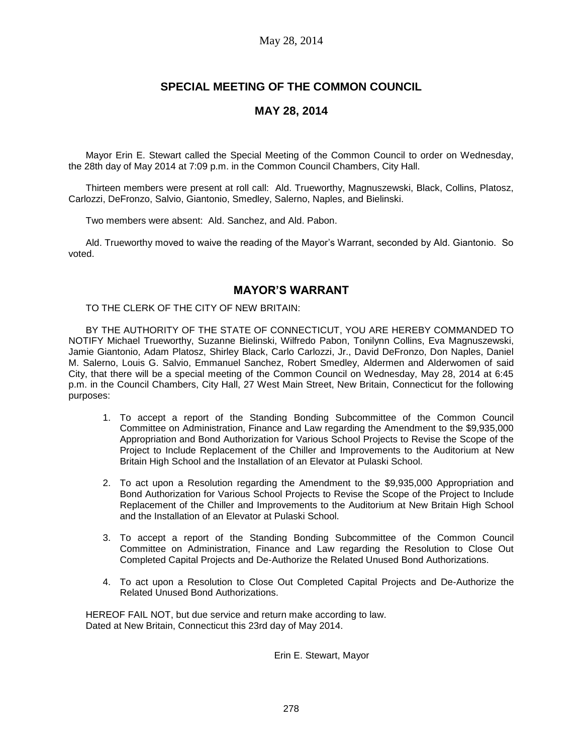### May 28, 2014

# **SPECIAL MEETING OF THE COMMON COUNCIL**

## **MAY 28, 2014**

Mayor Erin E. Stewart called the Special Meeting of the Common Council to order on Wednesday, the 28th day of May 2014 at 7:09 p.m. in the Common Council Chambers, City Hall.

Thirteen members were present at roll call: Ald. Trueworthy, Magnuszewski, Black, Collins, Platosz, Carlozzi, DeFronzo, Salvio, Giantonio, Smedley, Salerno, Naples, and Bielinski.

Two members were absent: Ald. Sanchez, and Ald. Pabon.

Ald. Trueworthy moved to waive the reading of the Mayor's Warrant, seconded by Ald. Giantonio. So voted.

### **MAYOR'S WARRANT**

TO THE CLERK OF THE CITY OF NEW BRITAIN:

BY THE AUTHORITY OF THE STATE OF CONNECTICUT, YOU ARE HEREBY COMMANDED TO NOTIFY Michael Trueworthy, Suzanne Bielinski, Wilfredo Pabon, Tonilynn Collins, Eva Magnuszewski, Jamie Giantonio, Adam Platosz, Shirley Black, Carlo Carlozzi, Jr., David DeFronzo, Don Naples, Daniel M. Salerno, Louis G. Salvio, Emmanuel Sanchez, Robert Smedley, Aldermen and Alderwomen of said City, that there will be a special meeting of the Common Council on Wednesday, May 28, 2014 at 6:45 p.m. in the Council Chambers, City Hall, 27 West Main Street, New Britain, Connecticut for the following purposes:

- 1. To accept a report of the Standing Bonding Subcommittee of the Common Council Committee on Administration, Finance and Law regarding the Amendment to the \$9,935,000 Appropriation and Bond Authorization for Various School Projects to Revise the Scope of the Project to Include Replacement of the Chiller and Improvements to the Auditorium at New Britain High School and the Installation of an Elevator at Pulaski School.
- 2. To act upon a Resolution regarding the Amendment to the \$9,935,000 Appropriation and Bond Authorization for Various School Projects to Revise the Scope of the Project to Include Replacement of the Chiller and Improvements to the Auditorium at New Britain High School and the Installation of an Elevator at Pulaski School.
- 3. To accept a report of the Standing Bonding Subcommittee of the Common Council Committee on Administration, Finance and Law regarding the Resolution to Close Out Completed Capital Projects and De-Authorize the Related Unused Bond Authorizations.
- 4. To act upon a Resolution to Close Out Completed Capital Projects and De-Authorize the Related Unused Bond Authorizations.

HEREOF FAIL NOT, but due service and return make according to law. Dated at New Britain, Connecticut this 23rd day of May 2014.

Erin E. Stewart, Mayor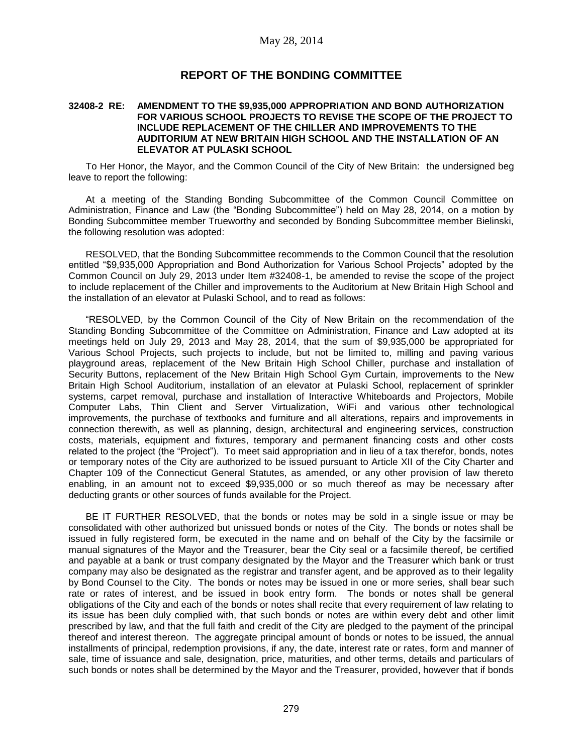### **REPORT OF THE BONDING COMMITTEE**

#### **32408-2 RE: AMENDMENT TO THE \$9,935,000 APPROPRIATION AND BOND AUTHORIZATION FOR VARIOUS SCHOOL PROJECTS TO REVISE THE SCOPE OF THE PROJECT TO INCLUDE REPLACEMENT OF THE CHILLER AND IMPROVEMENTS TO THE AUDITORIUM AT NEW BRITAIN HIGH SCHOOL AND THE INSTALLATION OF AN ELEVATOR AT PULASKI SCHOOL**

To Her Honor, the Mayor, and the Common Council of the City of New Britain: the undersigned beg leave to report the following:

At a meeting of the Standing Bonding Subcommittee of the Common Council Committee on Administration, Finance and Law (the "Bonding Subcommittee") held on May 28, 2014, on a motion by Bonding Subcommittee member Trueworthy and seconded by Bonding Subcommittee member Bielinski, the following resolution was adopted:

RESOLVED, that the Bonding Subcommittee recommends to the Common Council that the resolution entitled "\$9,935,000 Appropriation and Bond Authorization for Various School Projects" adopted by the Common Council on July 29, 2013 under Item #32408-1, be amended to revise the scope of the project to include replacement of the Chiller and improvements to the Auditorium at New Britain High School and the installation of an elevator at Pulaski School, and to read as follows:

"RESOLVED, by the Common Council of the City of New Britain on the recommendation of the Standing Bonding Subcommittee of the Committee on Administration, Finance and Law adopted at its meetings held on July 29, 2013 and May 28, 2014, that the sum of \$9,935,000 be appropriated for Various School Projects, such projects to include, but not be limited to, milling and paving various playground areas, replacement of the New Britain High School Chiller, purchase and installation of Security Buttons, replacement of the New Britain High School Gym Curtain, improvements to the New Britain High School Auditorium, installation of an elevator at Pulaski School, replacement of sprinkler systems, carpet removal, purchase and installation of Interactive Whiteboards and Projectors, Mobile Computer Labs, Thin Client and Server Virtualization, WiFi and various other technological improvements, the purchase of textbooks and furniture and all alterations, repairs and improvements in connection therewith, as well as planning, design, architectural and engineering services, construction costs, materials, equipment and fixtures, temporary and permanent financing costs and other costs related to the project (the "Project"). To meet said appropriation and in lieu of a tax therefor, bonds, notes or temporary notes of the City are authorized to be issued pursuant to Article XII of the City Charter and Chapter 109 of the Connecticut General Statutes, as amended, or any other provision of law thereto enabling, in an amount not to exceed \$9,935,000 or so much thereof as may be necessary after deducting grants or other sources of funds available for the Project.

BE IT FURTHER RESOLVED, that the bonds or notes may be sold in a single issue or may be consolidated with other authorized but unissued bonds or notes of the City. The bonds or notes shall be issued in fully registered form, be executed in the name and on behalf of the City by the facsimile or manual signatures of the Mayor and the Treasurer, bear the City seal or a facsimile thereof, be certified and payable at a bank or trust company designated by the Mayor and the Treasurer which bank or trust company may also be designated as the registrar and transfer agent, and be approved as to their legality by Bond Counsel to the City. The bonds or notes may be issued in one or more series, shall bear such rate or rates of interest, and be issued in book entry form. The bonds or notes shall be general obligations of the City and each of the bonds or notes shall recite that every requirement of law relating to its issue has been duly complied with, that such bonds or notes are within every debt and other limit prescribed by law, and that the full faith and credit of the City are pledged to the payment of the principal thereof and interest thereon. The aggregate principal amount of bonds or notes to be issued, the annual installments of principal, redemption provisions, if any, the date, interest rate or rates, form and manner of sale, time of issuance and sale, designation, price, maturities, and other terms, details and particulars of such bonds or notes shall be determined by the Mayor and the Treasurer, provided, however that if bonds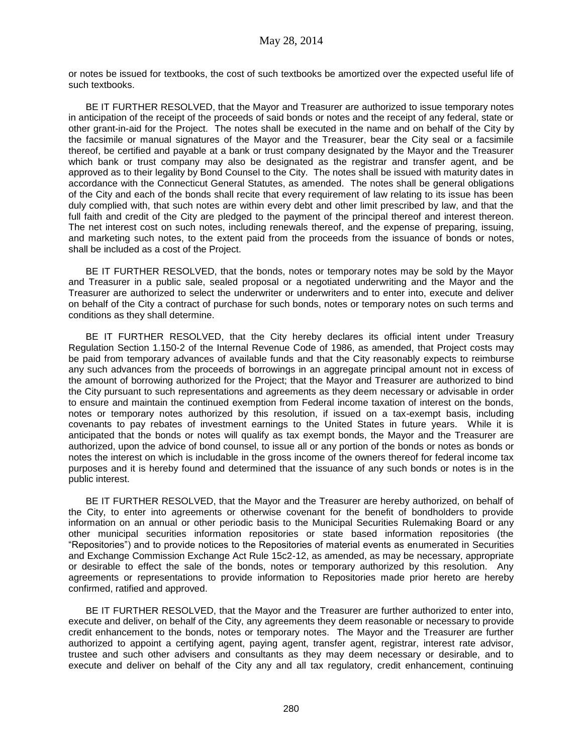or notes be issued for textbooks, the cost of such textbooks be amortized over the expected useful life of such textbooks.

BE IT FURTHER RESOLVED, that the Mayor and Treasurer are authorized to issue temporary notes in anticipation of the receipt of the proceeds of said bonds or notes and the receipt of any federal, state or other grant-in-aid for the Project. The notes shall be executed in the name and on behalf of the City by the facsimile or manual signatures of the Mayor and the Treasurer, bear the City seal or a facsimile thereof, be certified and payable at a bank or trust company designated by the Mayor and the Treasurer which bank or trust company may also be designated as the registrar and transfer agent, and be approved as to their legality by Bond Counsel to the City. The notes shall be issued with maturity dates in accordance with the Connecticut General Statutes, as amended. The notes shall be general obligations of the City and each of the bonds shall recite that every requirement of law relating to its issue has been duly complied with, that such notes are within every debt and other limit prescribed by law, and that the full faith and credit of the City are pledged to the payment of the principal thereof and interest thereon. The net interest cost on such notes, including renewals thereof, and the expense of preparing, issuing, and marketing such notes, to the extent paid from the proceeds from the issuance of bonds or notes, shall be included as a cost of the Project.

BE IT FURTHER RESOLVED, that the bonds, notes or temporary notes may be sold by the Mayor and Treasurer in a public sale, sealed proposal or a negotiated underwriting and the Mayor and the Treasurer are authorized to select the underwriter or underwriters and to enter into, execute and deliver on behalf of the City a contract of purchase for such bonds, notes or temporary notes on such terms and conditions as they shall determine.

BE IT FURTHER RESOLVED, that the City hereby declares its official intent under Treasury Regulation Section 1.150-2 of the Internal Revenue Code of 1986, as amended, that Project costs may be paid from temporary advances of available funds and that the City reasonably expects to reimburse any such advances from the proceeds of borrowings in an aggregate principal amount not in excess of the amount of borrowing authorized for the Project; that the Mayor and Treasurer are authorized to bind the City pursuant to such representations and agreements as they deem necessary or advisable in order to ensure and maintain the continued exemption from Federal income taxation of interest on the bonds, notes or temporary notes authorized by this resolution, if issued on a tax-exempt basis, including covenants to pay rebates of investment earnings to the United States in future years. While it is anticipated that the bonds or notes will qualify as tax exempt bonds, the Mayor and the Treasurer are authorized, upon the advice of bond counsel, to issue all or any portion of the bonds or notes as bonds or notes the interest on which is includable in the gross income of the owners thereof for federal income tax purposes and it is hereby found and determined that the issuance of any such bonds or notes is in the public interest.

BE IT FURTHER RESOLVED, that the Mayor and the Treasurer are hereby authorized, on behalf of the City, to enter into agreements or otherwise covenant for the benefit of bondholders to provide information on an annual or other periodic basis to the Municipal Securities Rulemaking Board or any other municipal securities information repositories or state based information repositories (the "Repositories") and to provide notices to the Repositories of material events as enumerated in Securities and Exchange Commission Exchange Act Rule 15c2-12, as amended, as may be necessary, appropriate or desirable to effect the sale of the bonds, notes or temporary authorized by this resolution. Any agreements or representations to provide information to Repositories made prior hereto are hereby confirmed, ratified and approved.

BE IT FURTHER RESOLVED, that the Mayor and the Treasurer are further authorized to enter into, execute and deliver, on behalf of the City, any agreements they deem reasonable or necessary to provide credit enhancement to the bonds, notes or temporary notes. The Mayor and the Treasurer are further authorized to appoint a certifying agent, paying agent, transfer agent, registrar, interest rate advisor, trustee and such other advisers and consultants as they may deem necessary or desirable, and to execute and deliver on behalf of the City any and all tax regulatory, credit enhancement, continuing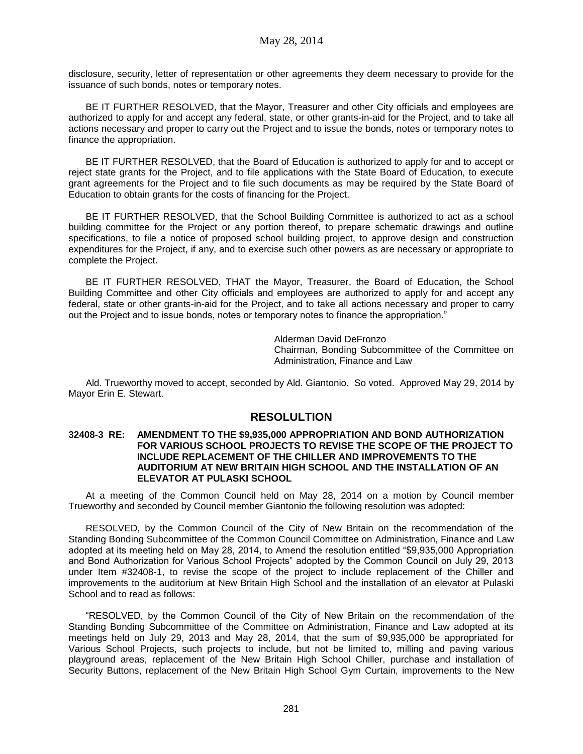disclosure, security, letter of representation or other agreements they deem necessary to provide for the issuance of such bonds, notes or temporary notes.

BE IT FURTHER RESOLVED, that the Mayor, Treasurer and other City officials and employees are authorized to apply for and accept any federal, state, or other grants-in-aid for the Project, and to take all actions necessary and proper to carry out the Project and to issue the bonds, notes or temporary notes to finance the appropriation.

BE IT FURTHER RESOLVED, that the Board of Education is authorized to apply for and to accept or reject state grants for the Project, and to file applications with the State Board of Education, to execute grant agreements for the Project and to file such documents as may be required by the State Board of Education to obtain grants for the costs of financing for the Project.

BE IT FURTHER RESOLVED, that the School Building Committee is authorized to act as a school building committee for the Project or any portion thereof, to prepare schematic drawings and outline specifications, to file a notice of proposed school building project, to approve design and construction expenditures for the Project, if any, and to exercise such other powers as are necessary or appropriate to complete the Project.

BE IT FURTHER RESOLVED, THAT the Mayor, Treasurer, the Board of Education, the School Building Committee and other City officials and employees are authorized to apply for and accept any federal, state or other grants-in-aid for the Project, and to take all actions necessary and proper to carry out the Project and to issue bonds, notes or temporary notes to finance the appropriation."

> Alderman David DeFronzo Chairman, Bonding Subcommittee of the Committee on Administration, Finance and Law

Ald. Trueworthy moved to accept, seconded by Ald. Giantonio. So voted. Approved May 29, 2014 by Mayor Erin E. Stewart.

## **RESOLULTION**

#### **32408-3 RE: AMENDMENT TO THE \$9,935,000 APPROPRIATION AND BOND AUTHORIZATION FOR VARIOUS SCHOOL PROJECTS TO REVISE THE SCOPE OF THE PROJECT TO INCLUDE REPLACEMENT OF THE CHILLER AND IMPROVEMENTS TO THE AUDITORIUM AT NEW BRITAIN HIGH SCHOOL AND THE INSTALLATION OF AN ELEVATOR AT PULASKI SCHOOL**

At a meeting of the Common Council held on May 28, 2014 on a motion by Council member Trueworthy and seconded by Council member Giantonio the following resolution was adopted:

RESOLVED, by the Common Council of the City of New Britain on the recommendation of the Standing Bonding Subcommittee of the Common Council Committee on Administration, Finance and Law adopted at its meeting held on May 28, 2014, to Amend the resolution entitled "\$9,935,000 Appropriation and Bond Authorization for Various School Projects" adopted by the Common Council on July 29, 2013 under Item #32408-1, to revise the scope of the project to include replacement of the Chiller and improvements to the auditorium at New Britain High School and the installation of an elevator at Pulaski School and to read as follows:

"RESOLVED, by the Common Council of the City of New Britain on the recommendation of the Standing Bonding Subcommittee of the Committee on Administration, Finance and Law adopted at its meetings held on July 29, 2013 and May 28, 2014, that the sum of \$9,935,000 be appropriated for Various School Projects, such projects to include, but not be limited to, milling and paving various playground areas, replacement of the New Britain High School Chiller, purchase and installation of Security Buttons, replacement of the New Britain High School Gym Curtain, improvements to the New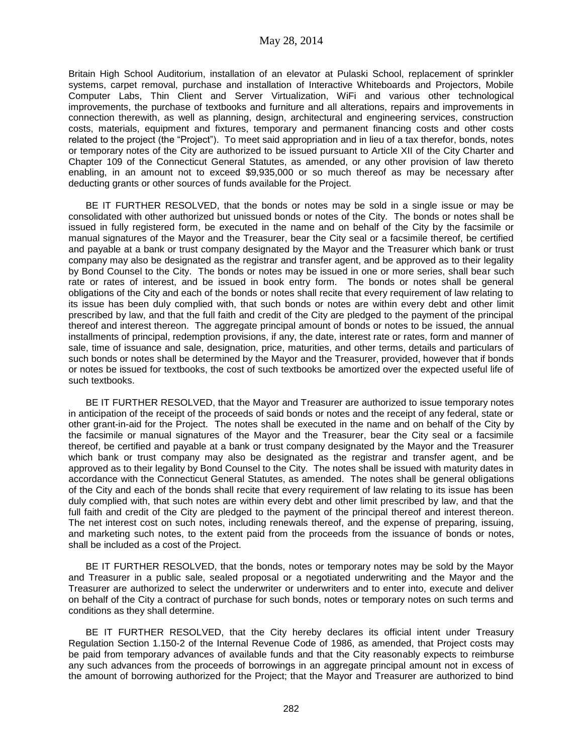Britain High School Auditorium, installation of an elevator at Pulaski School, replacement of sprinkler systems, carpet removal, purchase and installation of Interactive Whiteboards and Projectors, Mobile Computer Labs, Thin Client and Server Virtualization, WiFi and various other technological improvements, the purchase of textbooks and furniture and all alterations, repairs and improvements in connection therewith, as well as planning, design, architectural and engineering services, construction costs, materials, equipment and fixtures, temporary and permanent financing costs and other costs related to the project (the "Project"). To meet said appropriation and in lieu of a tax therefor, bonds, notes or temporary notes of the City are authorized to be issued pursuant to Article XII of the City Charter and Chapter 109 of the Connecticut General Statutes, as amended, or any other provision of law thereto enabling, in an amount not to exceed \$9,935,000 or so much thereof as may be necessary after deducting grants or other sources of funds available for the Project.

BE IT FURTHER RESOLVED, that the bonds or notes may be sold in a single issue or may be consolidated with other authorized but unissued bonds or notes of the City. The bonds or notes shall be issued in fully registered form, be executed in the name and on behalf of the City by the facsimile or manual signatures of the Mayor and the Treasurer, bear the City seal or a facsimile thereof, be certified and payable at a bank or trust company designated by the Mayor and the Treasurer which bank or trust company may also be designated as the registrar and transfer agent, and be approved as to their legality by Bond Counsel to the City. The bonds or notes may be issued in one or more series, shall bear such rate or rates of interest, and be issued in book entry form. The bonds or notes shall be general obligations of the City and each of the bonds or notes shall recite that every requirement of law relating to its issue has been duly complied with, that such bonds or notes are within every debt and other limit prescribed by law, and that the full faith and credit of the City are pledged to the payment of the principal thereof and interest thereon. The aggregate principal amount of bonds or notes to be issued, the annual installments of principal, redemption provisions, if any, the date, interest rate or rates, form and manner of sale, time of issuance and sale, designation, price, maturities, and other terms, details and particulars of such bonds or notes shall be determined by the Mayor and the Treasurer, provided, however that if bonds or notes be issued for textbooks, the cost of such textbooks be amortized over the expected useful life of such textbooks.

BE IT FURTHER RESOLVED, that the Mayor and Treasurer are authorized to issue temporary notes in anticipation of the receipt of the proceeds of said bonds or notes and the receipt of any federal, state or other grant-in-aid for the Project. The notes shall be executed in the name and on behalf of the City by the facsimile or manual signatures of the Mayor and the Treasurer, bear the City seal or a facsimile thereof, be certified and payable at a bank or trust company designated by the Mayor and the Treasurer which bank or trust company may also be designated as the registrar and transfer agent, and be approved as to their legality by Bond Counsel to the City. The notes shall be issued with maturity dates in accordance with the Connecticut General Statutes, as amended. The notes shall be general obligations of the City and each of the bonds shall recite that every requirement of law relating to its issue has been duly complied with, that such notes are within every debt and other limit prescribed by law, and that the full faith and credit of the City are pledged to the payment of the principal thereof and interest thereon. The net interest cost on such notes, including renewals thereof, and the expense of preparing, issuing, and marketing such notes, to the extent paid from the proceeds from the issuance of bonds or notes, shall be included as a cost of the Project.

BE IT FURTHER RESOLVED, that the bonds, notes or temporary notes may be sold by the Mayor and Treasurer in a public sale, sealed proposal or a negotiated underwriting and the Mayor and the Treasurer are authorized to select the underwriter or underwriters and to enter into, execute and deliver on behalf of the City a contract of purchase for such bonds, notes or temporary notes on such terms and conditions as they shall determine.

BE IT FURTHER RESOLVED, that the City hereby declares its official intent under Treasury Regulation Section 1.150-2 of the Internal Revenue Code of 1986, as amended, that Project costs may be paid from temporary advances of available funds and that the City reasonably expects to reimburse any such advances from the proceeds of borrowings in an aggregate principal amount not in excess of the amount of borrowing authorized for the Project; that the Mayor and Treasurer are authorized to bind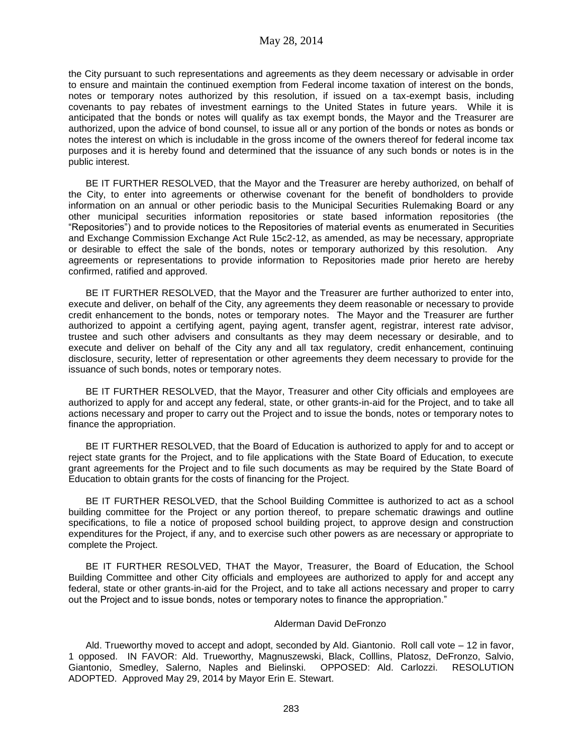the City pursuant to such representations and agreements as they deem necessary or advisable in order to ensure and maintain the continued exemption from Federal income taxation of interest on the bonds, notes or temporary notes authorized by this resolution, if issued on a tax-exempt basis, including covenants to pay rebates of investment earnings to the United States in future years. While it is anticipated that the bonds or notes will qualify as tax exempt bonds, the Mayor and the Treasurer are authorized, upon the advice of bond counsel, to issue all or any portion of the bonds or notes as bonds or notes the interest on which is includable in the gross income of the owners thereof for federal income tax purposes and it is hereby found and determined that the issuance of any such bonds or notes is in the public interest.

BE IT FURTHER RESOLVED, that the Mayor and the Treasurer are hereby authorized, on behalf of the City, to enter into agreements or otherwise covenant for the benefit of bondholders to provide information on an annual or other periodic basis to the Municipal Securities Rulemaking Board or any other municipal securities information repositories or state based information repositories (the "Repositories") and to provide notices to the Repositories of material events as enumerated in Securities and Exchange Commission Exchange Act Rule 15c2-12, as amended, as may be necessary, appropriate or desirable to effect the sale of the bonds, notes or temporary authorized by this resolution. Any agreements or representations to provide information to Repositories made prior hereto are hereby confirmed, ratified and approved.

BE IT FURTHER RESOLVED, that the Mayor and the Treasurer are further authorized to enter into, execute and deliver, on behalf of the City, any agreements they deem reasonable or necessary to provide credit enhancement to the bonds, notes or temporary notes. The Mayor and the Treasurer are further authorized to appoint a certifying agent, paying agent, transfer agent, registrar, interest rate advisor, trustee and such other advisers and consultants as they may deem necessary or desirable, and to execute and deliver on behalf of the City any and all tax regulatory, credit enhancement, continuing disclosure, security, letter of representation or other agreements they deem necessary to provide for the issuance of such bonds, notes or temporary notes.

BE IT FURTHER RESOLVED, that the Mayor, Treasurer and other City officials and employees are authorized to apply for and accept any federal, state, or other grants-in-aid for the Project, and to take all actions necessary and proper to carry out the Project and to issue the bonds, notes or temporary notes to finance the appropriation.

BE IT FURTHER RESOLVED, that the Board of Education is authorized to apply for and to accept or reject state grants for the Project, and to file applications with the State Board of Education, to execute grant agreements for the Project and to file such documents as may be required by the State Board of Education to obtain grants for the costs of financing for the Project.

BE IT FURTHER RESOLVED, that the School Building Committee is authorized to act as a school building committee for the Project or any portion thereof, to prepare schematic drawings and outline specifications, to file a notice of proposed school building project, to approve design and construction expenditures for the Project, if any, and to exercise such other powers as are necessary or appropriate to complete the Project.

BE IT FURTHER RESOLVED, THAT the Mayor, Treasurer, the Board of Education, the School Building Committee and other City officials and employees are authorized to apply for and accept any federal, state or other grants-in-aid for the Project, and to take all actions necessary and proper to carry out the Project and to issue bonds, notes or temporary notes to finance the appropriation."

#### Alderman David DeFronzo

Ald. Trueworthy moved to accept and adopt, seconded by Ald. Giantonio. Roll call vote – 12 in favor, 1 opposed. IN FAVOR: Ald. Trueworthy, Magnuszewski, Black, Colllins, Platosz, DeFronzo, Salvio, Giantonio, Smedley, Salerno, Naples and Bielinski. OPPOSED: Ald. Carlozzi. RESOLUTION ADOPTED. Approved May 29, 2014 by Mayor Erin E. Stewart.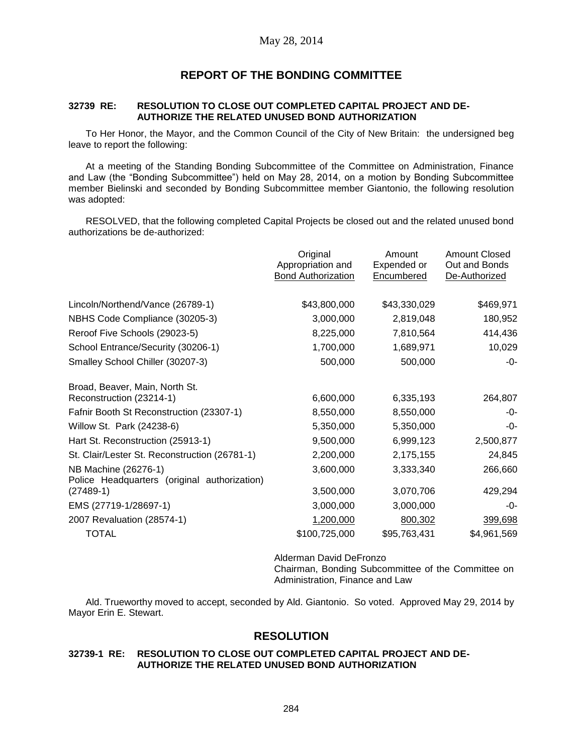## **REPORT OF THE BONDING COMMITTEE**

### **32739 RE: RESOLUTION TO CLOSE OUT COMPLETED CAPITAL PROJECT AND DE-AUTHORIZE THE RELATED UNUSED BOND AUTHORIZATION**

To Her Honor, the Mayor, and the Common Council of the City of New Britain: the undersigned beg leave to report the following:

At a meeting of the Standing Bonding Subcommittee of the Committee on Administration, Finance and Law (the "Bonding Subcommittee") held on May 28, 2014, on a motion by Bonding Subcommittee member Bielinski and seconded by Bonding Subcommittee member Giantonio, the following resolution was adopted:

RESOLVED, that the following completed Capital Projects be closed out and the related unused bond authorizations be de-authorized:

|                                                                      | Original<br>Appropriation and<br><b>Bond Authorization</b> | Amount<br>Expended or<br>Encumbered | <b>Amount Closed</b><br>Out and Bonds<br>De-Authorized |
|----------------------------------------------------------------------|------------------------------------------------------------|-------------------------------------|--------------------------------------------------------|
| Lincoln/Northend/Vance (26789-1)                                     | \$43,800,000                                               | \$43,330,029                        | \$469,971                                              |
| NBHS Code Compliance (30205-3)                                       | 3,000,000                                                  | 2,819,048                           | 180,952                                                |
| Reroof Five Schools (29023-5)                                        | 8,225,000                                                  | 7,810,564                           | 414,436                                                |
| School Entrance/Security (30206-1)                                   | 1,700,000                                                  | 1,689,971                           | 10,029                                                 |
| Smalley School Chiller (30207-3)                                     | 500,000                                                    | 500,000                             | -0-                                                    |
| Broad, Beaver, Main, North St.                                       |                                                            |                                     |                                                        |
| Reconstruction (23214-1)                                             | 6,600,000                                                  | 6,335,193                           | 264,807                                                |
| Fafnir Booth St Reconstruction (23307-1)                             | 8,550,000                                                  | 8,550,000                           | -0-                                                    |
| Willow St. Park (24238-6)                                            | 5,350,000                                                  | 5,350,000                           | -0-                                                    |
| Hart St. Reconstruction (25913-1)                                    | 9,500,000                                                  | 6,999,123                           | 2,500,877                                              |
| St. Clair/Lester St. Reconstruction (26781-1)                        | 2,200,000                                                  | 2,175,155                           | 24,845                                                 |
| NB Machine (26276-1)<br>Police Headquarters (original authorization) | 3,600,000                                                  | 3,333,340                           | 266,660                                                |
| $(27489-1)$                                                          | 3,500,000                                                  | 3,070,706                           | 429,294                                                |
| EMS (27719-1/28697-1)                                                | 3,000,000                                                  | 3,000,000                           | -0-                                                    |
| 2007 Revaluation (28574-1)                                           | 1,200,000                                                  | 800,302                             | 399,698                                                |
| <b>TOTAL</b>                                                         | \$100,725,000                                              | \$95,763,431                        | \$4,961,569                                            |

Alderman David DeFronzo

Chairman, Bonding Subcommittee of the Committee on Administration, Finance and Law

Ald. Trueworthy moved to accept, seconded by Ald. Giantonio. So voted. Approved May 29, 2014 by Mayor Erin E. Stewart.

## **RESOLUTION**

#### **32739-1 RE: RESOLUTION TO CLOSE OUT COMPLETED CAPITAL PROJECT AND DE-AUTHORIZE THE RELATED UNUSED BOND AUTHORIZATION**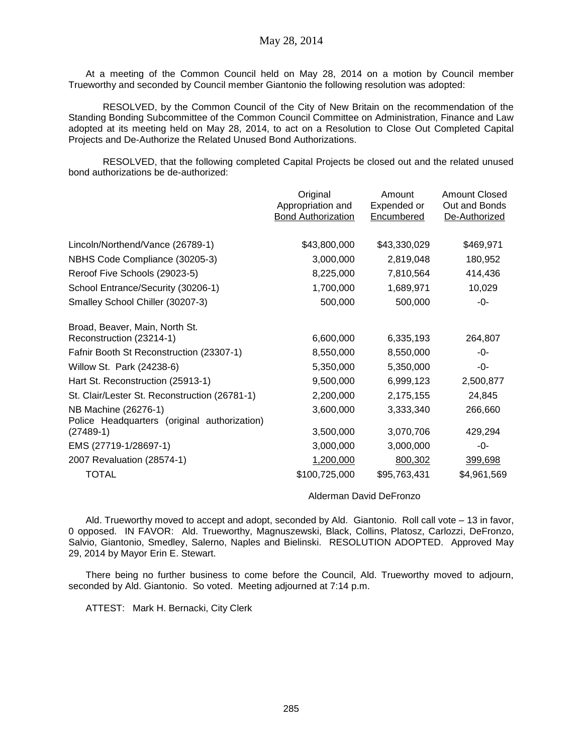At a meeting of the Common Council held on May 28, 2014 on a motion by Council member Trueworthy and seconded by Council member Giantonio the following resolution was adopted:

RESOLVED, by the Common Council of the City of New Britain on the recommendation of the Standing Bonding Subcommittee of the Common Council Committee on Administration, Finance and Law adopted at its meeting held on May 28, 2014, to act on a Resolution to Close Out Completed Capital Projects and De-Authorize the Related Unused Bond Authorizations.

RESOLVED, that the following completed Capital Projects be closed out and the related unused bond authorizations be de-authorized:

|                                                                      | Original<br>Appropriation and<br><b>Bond Authorization</b> | Amount<br>Expended or<br>Encumbered | <b>Amount Closed</b><br>Out and Bonds<br>De-Authorized |
|----------------------------------------------------------------------|------------------------------------------------------------|-------------------------------------|--------------------------------------------------------|
| Lincoln/Northend/Vance (26789-1)                                     | \$43,800,000                                               | \$43,330,029                        | \$469,971                                              |
| NBHS Code Compliance (30205-3)                                       | 3,000,000                                                  | 2,819,048                           | 180,952                                                |
| Reroof Five Schools (29023-5)                                        | 8,225,000                                                  | 7,810,564                           | 414,436                                                |
| School Entrance/Security (30206-1)                                   | 1,700,000                                                  | 1,689,971                           | 10,029                                                 |
| Smalley School Chiller (30207-3)                                     | 500,000                                                    | 500,000                             | -0-                                                    |
| Broad, Beaver, Main, North St.<br>Reconstruction (23214-1)           | 6,600,000                                                  | 6,335,193                           | 264,807                                                |
| Fafnir Booth St Reconstruction (23307-1)                             | 8,550,000                                                  | 8,550,000                           | -0-                                                    |
| Willow St. Park (24238-6)                                            | 5,350,000                                                  | 5,350,000                           | -0-                                                    |
| Hart St. Reconstruction (25913-1)                                    | 9,500,000                                                  | 6,999,123                           | 2,500,877                                              |
| St. Clair/Lester St. Reconstruction (26781-1)                        | 2,200,000                                                  | 2,175,155                           | 24,845                                                 |
| NB Machine (26276-1)<br>Police Headquarters (original authorization) | 3,600,000                                                  | 3,333,340                           | 266,660                                                |
| $(27489-1)$                                                          | 3,500,000                                                  | 3,070,706                           | 429,294                                                |
| EMS (27719-1/28697-1)                                                | 3,000,000                                                  | 3,000,000                           | -0-                                                    |
| 2007 Revaluation (28574-1)                                           | 1,200,000                                                  | 800,302                             | 399,698                                                |
| <b>TOTAL</b>                                                         | \$100,725,000                                              | \$95,763,431                        | \$4,961,569                                            |
|                                                                      |                                                            |                                     |                                                        |

Alderman David DeFronzo

Ald. Trueworthy moved to accept and adopt, seconded by Ald. Giantonio. Roll call vote – 13 in favor, 0 opposed. IN FAVOR: Ald. Trueworthy, Magnuszewski, Black, Collins, Platosz, Carlozzi, DeFronzo, Salvio, Giantonio, Smedley, Salerno, Naples and Bielinski. RESOLUTION ADOPTED. Approved May 29, 2014 by Mayor Erin E. Stewart.

There being no further business to come before the Council, Ald. Trueworthy moved to adjourn, seconded by Ald. Giantonio. So voted. Meeting adjourned at 7:14 p.m.

ATTEST: Mark H. Bernacki, City Clerk